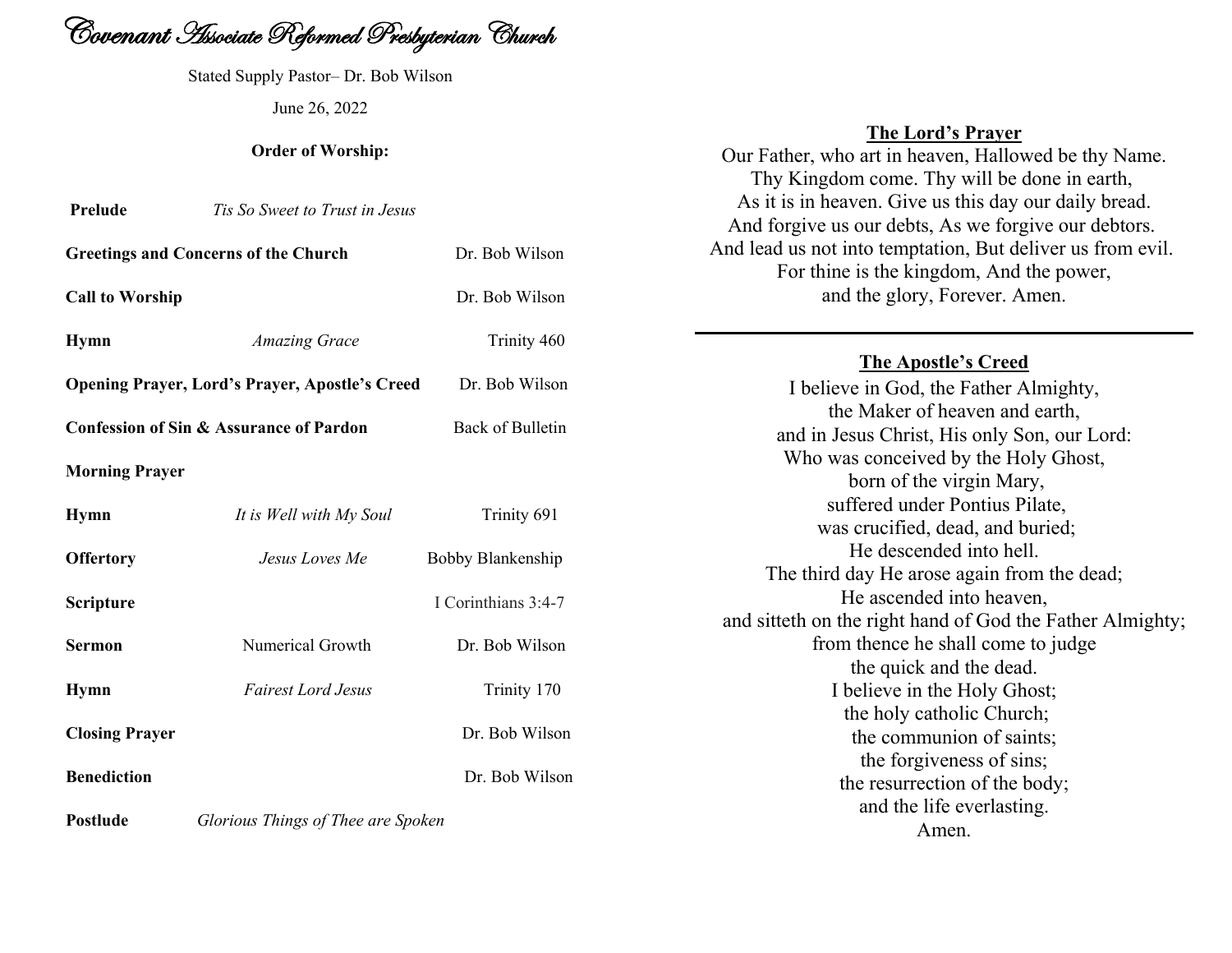

Stated Supply Pastor– Dr. Bob Wilson June 26, 2022

#### **Order of Worship:**

| Prelude                                               | Tis So Sweet to Trust in Jesus |                     |
|-------------------------------------------------------|--------------------------------|---------------------|
| <b>Greetings and Concerns of the Church</b>           |                                | Dr. Bob Wilson      |
| <b>Call to Worship</b>                                |                                | Dr. Bob Wilson      |
| <b>Hymn</b>                                           | <b>Amazing Grace</b>           | Trinity 460         |
| <b>Opening Prayer, Lord's Prayer, Apostle's Creed</b> |                                | Dr. Bob Wilson      |
| <b>Confession of Sin &amp; Assurance of Pardon</b>    |                                | Back of Bulletin    |
| <b>Morning Prayer</b>                                 |                                |                     |
| <b>Hymn</b>                                           | It is Well with My Soul        | Trinity 691         |
| <b>Offertory</b>                                      | Jesus Loves Me                 | Bobby Blankenship   |
| Scripture                                             |                                | I Corinthians 3:4-7 |
| <b>Sermon</b>                                         | Numerical Growth               | Dr. Bob Wilson      |
| <b>Hymn</b>                                           | <b>Fairest Lord Jesus</b>      | Trinity 170         |
| <b>Closing Prayer</b>                                 |                                | Dr. Bob Wilson      |
| <b>Benediction</b>                                    |                                | Dr. Bob Wilson      |
|                                                       |                                |                     |

**Postlude** *Glorious Things of Thee are Spoken*

# **The Lord's Prayer**

Our Father, who art in heaven, Hallowed be thy Name. Thy Kingdom come. Thy will be done in earth, As it is in heaven. Give us this day our daily bread. And forgive us our debts, As we forgive our debtors. And lead us not into temptation, But deliver us from evil. For thine is the kingdom, And the power, and the glory, Forever. Amen.

### **The Apostle's Creed**

I believe in God, the Father Almighty, the Maker of heaven and earth, and in Jesus Christ, His only Son, our Lord: Who was conceived by the Holy Ghost, born of the virgin Mary, suffered under Pontius Pilate, was crucified, dead, and buried; He descended into hell. The third day He arose again from the dead; He ascended into heaven, and sitteth on the right hand of God the Father Almighty; from thence he shall come to judge the quick and the dead. I believe in the Holy Ghost; the holy catholic Church; the communion of saints; the forgiveness of sins; the resurrection of the body; and the life everlasting. Amen.